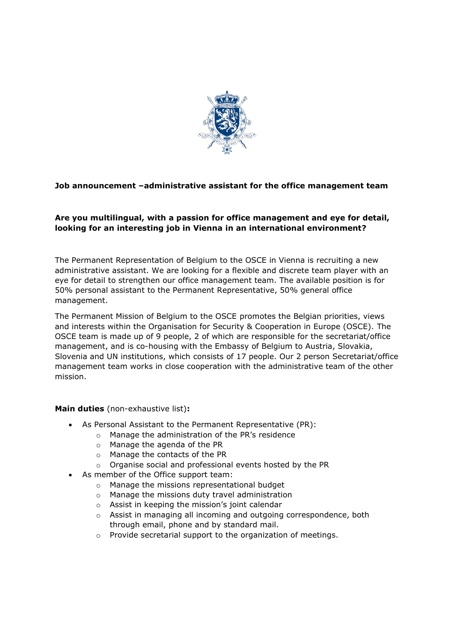

# **Job announcement –administrative assistant for the office management team**

# **Are you multilingual, with a passion for office management and eye for detail, looking for an interesting job in Vienna in an international environment?**

The Permanent Representation of Belgium to the OSCE in Vienna is recruiting a new administrative assistant. We are looking for a flexible and discrete team player with an eye for detail to strengthen our office management team. The available position is for 50% personal assistant to the Permanent Representative, 50% general office management.

The Permanent Mission of Belgium to the OSCE promotes the Belgian priorities, views and interests within the Organisation for Security & Cooperation in Europe (OSCE). The OSCE team is made up of 9 people, 2 of which are responsible for the secretariat/office management, and is co-housing with the Embassy of Belgium to Austria, Slovakia, Slovenia and UN institutions, which consists of 17 people. Our 2 person Secretariat/office management team works in close cooperation with the administrative team of the other mission.

## **Main duties** (non-exhaustive list)**:**

- As Personal Assistant to the Permanent Representative (PR):
	- o Manage the administration of the PR's residence
	- o Manage the agenda of the PR
	- o Manage the contacts of the PR
	- o Organise social and professional events hosted by the PR
- As member of the Office support team:
	- o Manage the missions representational budget
	- o Manage the missions duty travel administration
	- o Assist in keeping the mission's joint calendar
	- o Assist in managing all incoming and outgoing correspondence, both through email, phone and by standard mail.
	- o Provide secretarial support to the organization of meetings.